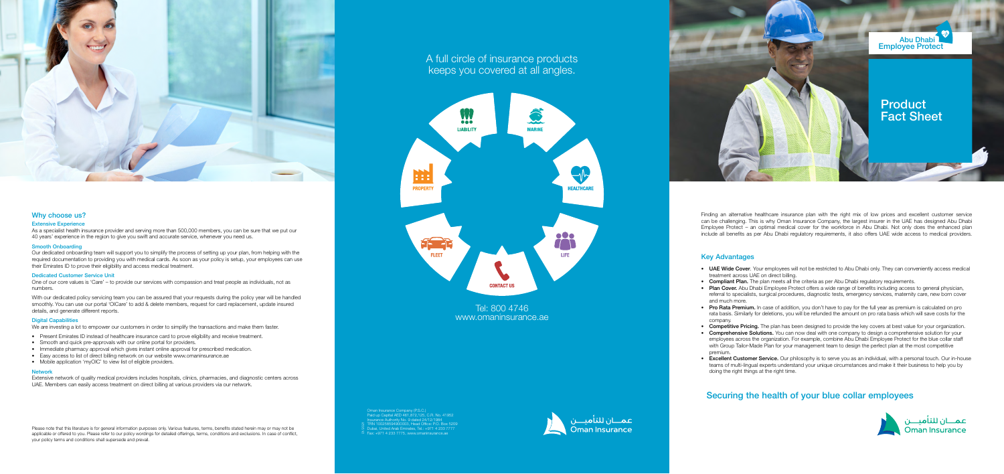

# A full circle of insurance products keeps you covered at all angles.



# Tel: 800 4746 www.omaninsurance.ae

Finding an alternative healthcare insurance plan with the right mix of low prices and excellent customer service can be challenging. This is why Oman Insurance Company, the largest insurer in the UAE has designed Abu Dhabi Employee Protect – an optimal medical cover for the workforce in Abu Dhabi. Not only does the enhanced plan include all benefits as per Abu Dhabi regulatory requirements, it also offers UAE wide access to medical providers.

### Extensive Experience

As a specialist health insurance provider and serving more than 500,000 members, you can be sure that we put our 40 years' experience in the region to give you swift and accurate service, whenever you need us.

With our dedicated policy servicing team you can be assured that your requests during the policy year will be handled smoothly. You can use our portal 'OICare' to add & delete members, request for card replacement, update insured details, and generate different reports.

### **Digital Capabilities**

We are investing a lot to empower our customers in order to simplify the transactions and make them faster.

### Smooth Onboarding

Our dedicated onboarding team will support you to simplify the process of setting up your plan, from helping with the required documentation to providing you with medical cards. As soon as your policy is setup, your employees can use their Emirates ID to prove their eligibility and access medical treatment.

#### Dedicated Customer Service Unit

One of our core values is 'Care' – to provide our services with compassion and treat people as individuals, not as numbers.

- Present Emirates ID instead of healthcare insurance card to prove eligibility and receive treatment.
- Smooth and quick pre-approvals with our online portal for providers.
- Immediate pharmacy approval which gives instant online approval for prescribed medication.
- Easy access to list of direct billing network on our website www.omaninsurance.ae
- Mobile application 'myOIC' to view list of eligible providers.
- UAE Wide Cover. Your employees will not be restricted to Abu Dhabi only. They can conveniently access medical treatment across UAE on direct billing.
- Compliant Plan. The plan meets all the criteria as per Abu Dhabi regulatory requirements.
- Plan Cover. Abu Dhabi Employee Protect offers a wide range of benefits including access to general physician, referral to specialists, surgical procedures, diagnostic tests, emergency services, maternity care, new born cover and much more.
- Pro Rata Premium. In case of addition, you don't have to pay for the full year as premium is calculated on pro rata basis. Similarly for deletions, you will be refunded the amount on pro rata basis which will save costs for the company.
- Competitive Pricing. The plan has been designed to provide the key covers at best value for your organization.
- Comprehensive Solutions. You can now deal with one company to design a comprehensive solution for your employees across the organization. For example, combine Abu Dhabi Employee Protect for the blue collar staff with Group Tailor-Made Plan for your management team to design the perfect plan at the most competitive premium.
- Excellent Customer Service. Our philosophy is to serve you as an individual, with a personal touch. Our in-house teams of multi-lingual experts understand your unique circumstances and make it their business to help you by doing the right things at the right time.

#### Network

Extensive network of quality medical providers includes hospitals, clinics, pharmacies, and diagnostic centers across UAE. Members can easily access treatment on direct billing at various providers via our network.



### Why choose us?

Please note that this literature is for general information purposes only. Various features, terms, benefits stated herein may or may not be applicable or offered to you. Please refer to our policy wordings for detailed offerings, terms, conditions and exclusions. In case of conflict, your policy terms and conditions shall supersede and prevail.

## Key Advantages

# Securing the health of your blue collar employees



Oman Insurance Company (P.S.C.) Paid up Capital AED 461,872,125, C.R. No. 41952 Insurance Authority No. 9 dated 24/12/1984 TRN 100258594900003, Head Office: P.O. Box 5209 Dubai, United Arab Emirates, Tel.: +971 4 233 7777 01/2021 Fax: +971 4 233 7775, www.omaninsurance.ae